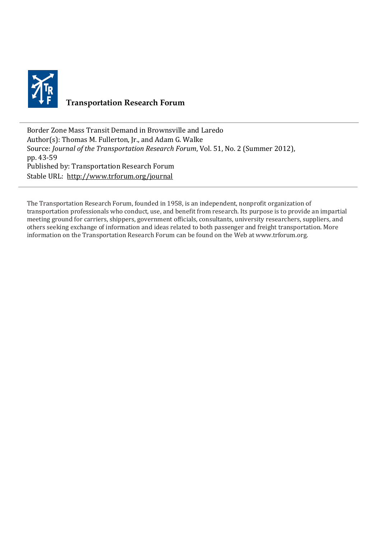

# **Transportation Research Forum**

Border Zone Mass Transit Demand in Brownsville and Laredo Author(s): Thomas M. Fullerton, Jr., and Adam G. Walke Source: *Journal of the Transportation Research Forum*, Vol. 51, No. 2 (Summer 2012), pp. 43-59 Published by: Transportation Research Forum Stable URL:<http://www.trforum.org/journal>

The Transportation Research Forum, founded in 1958, is an independent, nonprofit organization of transportation professionals who conduct, use, and benefit from research. Its purpose is to provide an impartial meeting ground for carriers, shippers, government officials, consultants, university researchers, suppliers, and others seeking exchange of information and ideas related to both passenger and freight transportation. More information on the Transportation Research Forum can be found on the Web at www.trforum.org.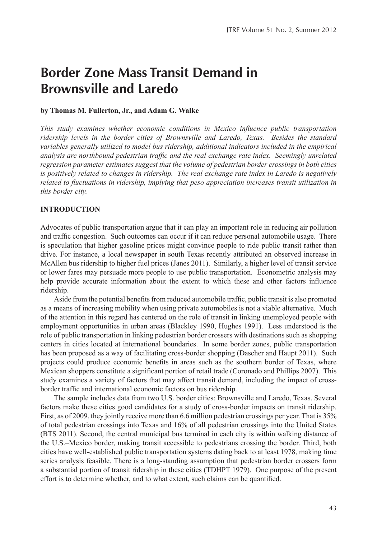# **Border Zone Mass Transit Demand in Brownsville and Laredo**

## **by Thomas M. Fullerton, Jr., and Adam G. Walke**

*This study examines whether economic conditions in Mexico influence public transportation ridership levels in the border cities of Brownsville and Laredo, Texas. Besides the standard variables generally utilized to model bus ridership, additional indicators included in the empirical analysis are northbound pedestrian traffic and the real exchange rate index. Seemingly unrelated regression parameter estimates suggest that the volume of pedestrian border crossings in both cities is positively related to changes in ridership. The real exchange rate index in Laredo is negatively related to fluctuations in ridership, implying that peso appreciation increases transit utilization in this border city.*

# **INTRODUCTION**

Advocates of public transportation argue that it can play an important role in reducing air pollution and traffic congestion. Such outcomes can occur if it can reduce personal automobile usage. There is speculation that higher gasoline prices might convince people to ride public transit rather than drive. For instance, a local newspaper in south Texas recently attributed an observed increase in McAllen bus ridership to higher fuel prices (Janes 2011). Similarly, a higher level of transit service or lower fares may persuade more people to use public transportation. Econometric analysis may help provide accurate information about the extent to which these and other factors influence ridership.

Aside from the potential benefits from reduced automobile traffic, public transit is also promoted as a means of increasing mobility when using private automobiles is not a viable alternative. Much of the attention in this regard has centered on the role of transit in linking unemployed people with employment opportunities in urban areas (Blackley 1990, Hughes 1991). Less understood is the role of public transportation in linking pedestrian border crossers with destinations such as shopping centers in cities located at international boundaries. In some border zones, public transportation has been proposed as a way of facilitating cross-border shopping (Dascher and Haupt 2011). Such projects could produce economic benefits in areas such as the southern border of Texas, where Mexican shoppers constitute a significant portion of retail trade (Coronado and Phillips 2007). This study examines a variety of factors that may affect transit demand, including the impact of crossborder traffic and international economic factors on bus ridership.

The sample includes data from two U.S. border cities: Brownsville and Laredo, Texas. Several factors make these cities good candidates for a study of cross-border impacts on transit ridership. First, as of 2009, they jointly receive more than 6.6 million pedestrian crossings per year. That is 35% of total pedestrian crossings into Texas and 16% of all pedestrian crossings into the United States (BTS 2011). Second, the central municipal bus terminal in each city is within walking distance of the U.S.–Mexico border, making transit accessible to pedestrians crossing the border. Third, both cities have well-established public transportation systems dating back to at least 1978, making time series analysis feasible. There is a long-standing assumption that pedestrian border crossers form a substantial portion of transit ridership in these cities (TDHPT 1979). One purpose of the present effort is to determine whether, and to what extent, such claims can be quantified.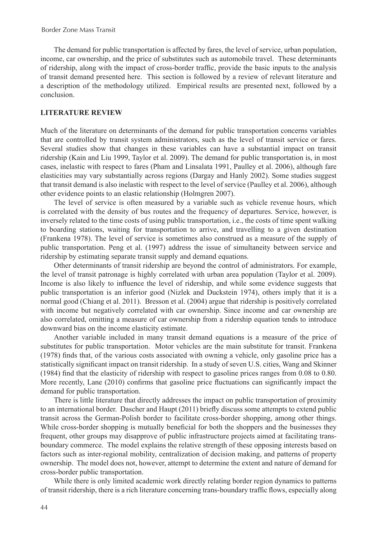The demand for public transportation is affected by fares, the level of service, urban population, income, car ownership, and the price of substitutes such as automobile travel. These determinants of ridership, along with the impact of cross-border traffic, provide the basic inputs to the analysis of transit demand presented here. This section is followed by a review of relevant literature and a description of the methodology utilized. Empirical results are presented next, followed by a conclusion.

### **LITERATURE REVIEW**

Much of the literature on determinants of the demand for public transportation concerns variables that are controlled by transit system administrators, such as the level of transit service or fares. Several studies show that changes in these variables can have a substantial impact on transit ridership (Kain and Liu 1999, Taylor et al. 2009). The demand for public transportation is, in most cases, inelastic with respect to fares (Pham and Linsalata 1991, Paulley et al. 2006), although fare elasticities may vary substantially across regions (Dargay and Hanly 2002). Some studies suggest that transit demand is also inelastic with respect to the level of service (Paulley et al. 2006), although other evidence points to an elastic relationship (Holmgren 2007).

The level of service is often measured by a variable such as vehicle revenue hours, which is correlated with the density of bus routes and the frequency of departures. Service, however, is inversely related to the time costs of using public transportation, i.e., the costs of time spent walking to boarding stations, waiting for transportation to arrive, and travelling to a given destination (Frankena 1978). The level of service is sometimes also construed as a measure of the supply of public transportation. Peng et al. (1997) address the issue of simultaneity between service and ridership by estimating separate transit supply and demand equations.

Other determinants of transit ridership are beyond the control of administrators. For example, the level of transit patronage is highly correlated with urban area population (Taylor et al. 2009). Income is also likely to influence the level of ridership, and while some evidence suggests that public transportation is an inferior good (Nizlek and Duckstein 1974), others imply that it is a normal good (Chiang et al. 2011). Bresson et al. (2004) argue that ridership is positively correlated with income but negatively correlated with car ownership. Since income and car ownership are also correlated, omitting a measure of car ownership from a ridership equation tends to introduce downward bias on the income elasticity estimate.

Another variable included in many transit demand equations is a measure of the price of substitutes for public transportation. Motor vehicles are the main substitute for transit. Frankena (1978) finds that, of the various costs associated with owning a vehicle, only gasoline price has a statistically significant impact on transit ridership. In a study of seven U.S. cities, Wang and Skinner (1984) find that the elasticity of ridership with respect to gasoline prices ranges from 0.08 to 0.80. More recently, Lane (2010) confirms that gasoline price fluctuations can significantly impact the demand for public transportation.

There is little literature that directly addresses the impact on public transportation of proximity to an international border. Dascher and Haupt (2011) briefly discuss some attempts to extend public transit across the German-Polish border to facilitate cross-border shopping, among other things. While cross-border shopping is mutually beneficial for both the shoppers and the businesses they frequent, other groups may disapprove of public infrastructure projects aimed at facilitating transboundary commerce. The model explains the relative strength of these opposing interests based on factors such as inter-regional mobility, centralization of decision making, and patterns of property ownership. The model does not, however, attempt to determine the extent and nature of demand for cross-border public transportation.

While there is only limited academic work directly relating border region dynamics to patterns of transit ridership, there is a rich literature concerning trans-boundary traffic flows, especially along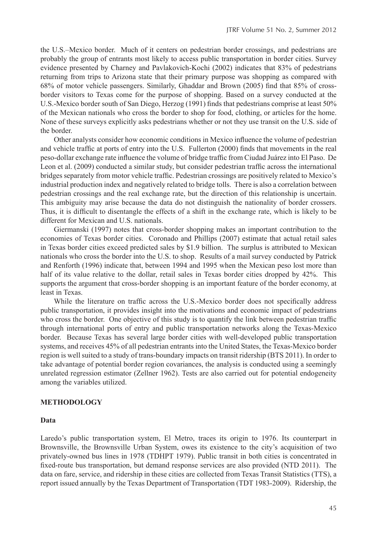the U.S.–Mexico border. Much of it centers on pedestrian border crossings, and pedestrians are probably the group of entrants most likely to access public transportation in border cities. Survey evidence presented by Charney and Pavlakovich-Kochi (2002) indicates that 83% of pedestrians returning from trips to Arizona state that their primary purpose was shopping as compared with 68% of motor vehicle passengers. Similarly, Ghaddar and Brown (2005) find that 85% of crossborder visitors to Texas come for the purpose of shopping. Based on a survey conducted at the U.S.-Mexico border south of San Diego, Herzog (1991) finds that pedestrians comprise at least 50% of the Mexican nationals who cross the border to shop for food, clothing, or articles for the home. None of these surveys explicitly asks pedestrians whether or not they use transit on the U.S. side of the border.

Other analysts consider how economic conditions in Mexico influence the volume of pedestrian and vehicle traffic at ports of entry into the U.S. Fullerton (2000) finds that movements in the real peso-dollar exchange rate influence the volume of bridge traffic from Ciudad Juárez into El Paso. De Leon et al. (2009) conducted a similar study, but consider pedestrian traffic across the international bridges separately from motor vehicle traffic. Pedestrian crossings are positively related to Mexico's industrial production index and negatively related to bridge tolls. There is also a correlation between pedestrian crossings and the real exchange rate, but the direction of this relationship is uncertain. This ambiguity may arise because the data do not distinguish the nationality of border crossers. Thus, it is difficult to disentangle the effects of a shift in the exchange rate, which is likely to be different for Mexican and U.S. nationals.

Giermanski (1997) notes that cross-border shopping makes an important contribution to the economies of Texas border cities. Coronado and Phillips (2007) estimate that actual retail sales in Texas border cities exceed predicted sales by \$1.9 billion. The surplus is attributed to Mexican nationals who cross the border into the U.S. to shop. Results of a mail survey conducted by Patrick and Renforth (1996) indicate that, between 1994 and 1995 when the Mexican peso lost more than half of its value relative to the dollar, retail sales in Texas border cities dropped by 42%. This supports the argument that cross-border shopping is an important feature of the border economy, at least in Texas.

While the literature on traffic across the U.S.-Mexico border does not specifically address public transportation, it provides insight into the motivations and economic impact of pedestrians who cross the border. One objective of this study is to quantify the link between pedestrian traffic through international ports of entry and public transportation networks along the Texas-Mexico border. Because Texas has several large border cities with well-developed public transportation systems, and receives 45% of all pedestrian entrants into the United States, the Texas-Mexico border region is well suited to a study of trans-boundary impacts on transit ridership (BTS 2011). In order to take advantage of potential border region covariances, the analysis is conducted using a seemingly unrelated regression estimator (Zellner 1962). Tests are also carried out for potential endogeneity among the variables utilized.

### **METHODOLOGY**

#### **Data**

Laredo's public transportation system, El Metro, traces its origin to 1976. Its counterpart in Brownsville, the Brownsville Urban System, owes its existence to the city's acquisition of two privately-owned bus lines in 1978 (TDHPT 1979). Public transit in both cities is concentrated in fixed-route bus transportation, but demand response services are also provided (NTD 2011). The data on fare, service, and ridership in these cities are collected from Texas Transit Statistics (TTS), a report issued annually by the Texas Department of Transportation (TDT 1983-2009). Ridership, the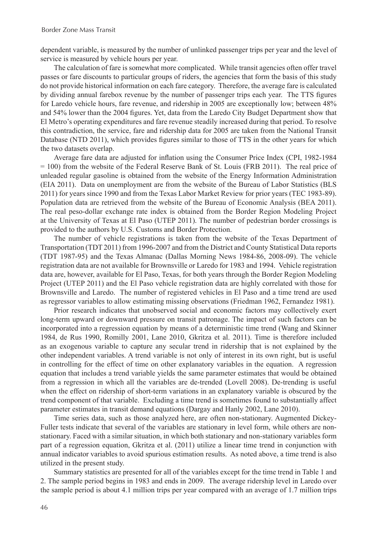dependent variable, is measured by the number of unlinked passenger trips per year and the level of service is measured by vehicle hours per year.

The calculation of fare is somewhat more complicated. While transit agencies often offer travel passes or fare discounts to particular groups of riders, the agencies that form the basis of this study do not provide historical information on each fare category. Therefore, the average fare is calculated by dividing annual farebox revenue by the number of passenger trips each year. The TTS figures for Laredo vehicle hours, fare revenue, and ridership in 2005 are exceptionally low; between 48% and 54% lower than the 2004 figures. Yet, data from the Laredo City Budget Department show that El Metro's operating expenditures and fare revenue steadily increased during that period. To resolve this contradiction, the service, fare and ridership data for 2005 are taken from the National Transit Database (NTD 2011), which provides figures similar to those of TTS in the other years for which the two datasets overlap.

Average fare data are adjusted for inflation using the Consumer Price Index (CPI, 1982-1984 = 100) from the website of the Federal Reserve Bank of St. Louis (FRB 2011). The real price of unleaded regular gasoline is obtained from the website of the Energy Information Administration (EIA 2011). Data on unemployment are from the website of the Bureau of Labor Statistics (BLS 2011) for years since 1990 and from the Texas Labor Market Review for prior years (TEC 1983-89). Population data are retrieved from the website of the Bureau of Economic Analysis (BEA 2011). The real peso-dollar exchange rate index is obtained from the Border Region Modeling Project at the University of Texas at El Paso (UTEP 2011). The number of pedestrian border crossings is provided to the authors by U.S. Customs and Border Protection.

The number of vehicle registrations is taken from the website of the Texas Department of Transportation (TDT 2011) from 1996-2007 and from the District and County Statistical Data reports (TDT 1987-95) and the Texas Almanac (Dallas Morning News 1984-86, 2008-09). The vehicle registration data are not available for Brownsville or Laredo for 1983 and 1994. Vehicle registration data are, however, available for El Paso, Texas, for both years through the Border Region Modeling Project (UTEP 2011) and the El Paso vehicle registration data are highly correlated with those for Brownsville and Laredo. The number of registered vehicles in El Paso and a time trend are used as regressor variables to allow estimating missing observations (Friedman 1962, Fernandez 1981).

Prior research indicates that unobserved social and economic factors may collectively exert long-term upward or downward pressure on transit patronage. The impact of such factors can be incorporated into a regression equation by means of a deterministic time trend (Wang and Skinner 1984, de Rus 1990, Romilly 2001, Lane 2010, Gkritza et al. 2011). Time is therefore included as an exogenous variable to capture any secular trend in ridership that is not explained by the other independent variables. A trend variable is not only of interest in its own right, but is useful in controlling for the effect of time on other explanatory variables in the equation. A regression equation that includes a trend variable yields the same parameter estimates that would be obtained from a regression in which all the variables are de-trended (Lovell 2008). De-trending is useful when the effect on ridership of short-term variations in an explanatory variable is obscured by the trend component of that variable. Excluding a time trend is sometimes found to substantially affect parameter estimates in transit demand equations (Dargay and Hanly 2002, Lane 2010).

Time series data, such as those analyzed here, are often non-stationary. Augmented Dickey-Fuller tests indicate that several of the variables are stationary in level form, while others are nonstationary. Faced with a similar situation, in which both stationary and non-stationary variables form part of a regression equation, Gkritza et al. (2011) utilize a linear time trend in conjunction with annual indicator variables to avoid spurious estimation results. As noted above, a time trend is also utilized in the present study.

Summary statistics are presented for all of the variables except for the time trend in Table 1 and 2. The sample period begins in 1983 and ends in 2009. The average ridership level in Laredo over the sample period is about 4.1 million trips per year compared with an average of 1.7 million trips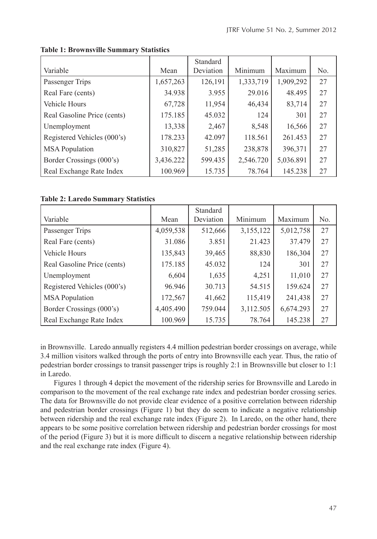|                             |           | Standard  |           |           |     |
|-----------------------------|-----------|-----------|-----------|-----------|-----|
| Variable                    | Mean      | Deviation | Minimum   | Maximum   | No. |
| Passenger Trips             | 1,657,263 | 126,191   | 1,333,719 | 1,909,292 | 27  |
| Real Fare (cents)           | 34.938    | 3.955     | 29.016    | 48.495    | 27  |
| Vehicle Hours               | 67,728    | 11,954    | 46,434    | 83,714    | 27  |
| Real Gasoline Price (cents) | 175.185   | 45.032    | 124       | 301       | 27  |
| Unemployment                | 13,338    | 2,467     | 8,548     | 16,566    | 27  |
| Registered Vehicles (000's) | 178.233   | 42.097    | 118.561   | 261.453   | 27  |
| <b>MSA</b> Population       | 310,827   | 51,285    | 238,878   | 396,371   | 27  |
| Border Crossings (000's)    | 3,436.222 | 599.435   | 2,546.720 | 5,036.891 | 27  |
| Real Exchange Rate Index    | 100.969   | 15.735    | 78.764    | 145.238   | 27  |

# **Table 1: Brownsville Summary Statistics**

# **Table 2: Laredo Summary Statistics**

|                             |           | Standard  |           |           |                |
|-----------------------------|-----------|-----------|-----------|-----------|----------------|
| Variable                    | Mean      | Deviation | Minimum   | Maximum   | N <sub>0</sub> |
| Passenger Trips             | 4,059,538 | 512,666   | 3,155,122 | 5,012,758 | 27             |
| Real Fare (cents)           | 31.086    | 3.851     | 21.423    | 37.479    | 27             |
| Vehicle Hours               | 135,843   | 39,465    | 88,830    | 186,304   | 27             |
| Real Gasoline Price (cents) | 175.185   | 45.032    | 124       | 301       | 27             |
| Unemployment                | 6,604     | 1,635     | 4,251     | 11,010    | 27             |
| Registered Vehicles (000's) | 96.946    | 30.713    | 54.515    | 159.624   | 27             |
| <b>MSA</b> Population       | 172,567   | 41,662    | 115,419   | 241,438   | 27             |
| Border Crossings (000's)    | 4,405.490 | 759.044   | 3,112.505 | 6,674.293 | 27             |
| Real Exchange Rate Index    | 100.969   | 15.735    | 78.764    | 145.238   | 27             |

in Brownsville. Laredo annually registers 4.4 million pedestrian border crossings on average, while 3.4 million visitors walked through the ports of entry into Brownsville each year. Thus, the ratio of pedestrian border crossings to transit passenger trips is roughly 2:1 in Brownsville but closer to 1:1 in Laredo.

Figures 1 through 4 depict the movement of the ridership series for Brownsville and Laredo in comparison to the movement of the real exchange rate index and pedestrian border crossing series. The data for Brownsville do not provide clear evidence of a positive correlation between ridership and pedestrian border crossings (Figure 1) but they do seem to indicate a negative relationship between ridership and the real exchange rate index (Figure 2). In Laredo, on the other hand, there appears to be some positive correlation between ridership and pedestrian border crossings for most of the period (Figure 3) but it is more difficult to discern a negative relationship between ridership and the real exchange rate index (Figure 4).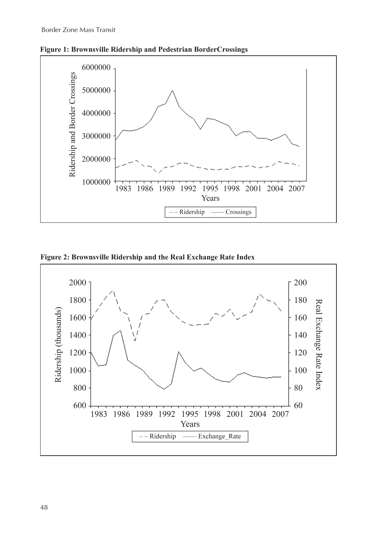



**Figure 2: Brownsville Ridership and the Real Exchange Rate Index**

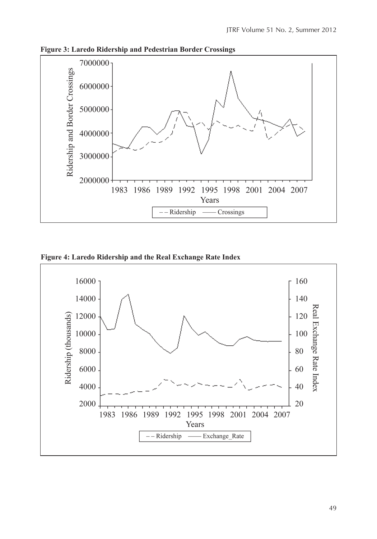



**Figure 4: Laredo Ridership and the Real Exchange Rate Index**

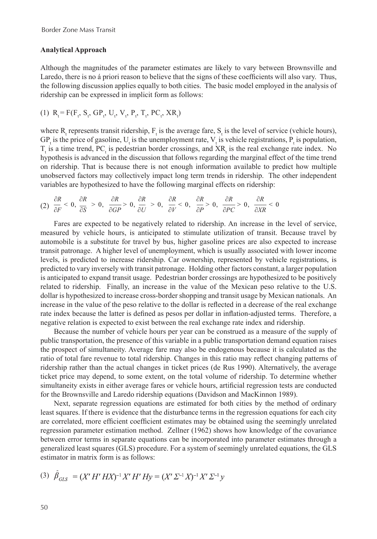#### **Analytical Approach**

Although the magnitudes of the parameter estimates are likely to vary between Brownsville and Laredo, there is no á priori reason to believe that the signs of these coefficients will also vary. Thus, the following discussion applies equally to both cities. The basic model employed in the analysis of ridership can be expressed in implicit form as follows:

(1) 
$$
R_t = F(F_t, S_t, GP_t, U_t, V_t, P_t, T_t, PC_t, XR_t)
$$

where  $R_t$  represents transit ridership,  $F_t$  is the average fare,  $S_t$  is the level of service (vehicle hours),  $GP_t$  is the price of gasoline,  $U_t$  is the unemployment rate,  $V_t$  is vehicle registrations,  $P_t$  is population,  $T_t$  is a time trend, PC<sub>t</sub> is pedestrian border crossings, and XR<sub>t</sub> is the real exchange rate index. No hypothesis is advanced in the discussion that follows regarding the marginal effect of the time trend on ridership. That is because there is not enough information available to predict how multiple unobserved factors may collectively impact long term trends in ridership. The other independent variables are hypothesized to have the following marginal effects on ridership:

$$
(2) \frac{\partial R}{\partial F}<0, \frac{\partial R}{\partial S}>0, \frac{\partial R}{\partial GP}>0, \frac{\partial R}{\partial U}>0, \frac{\partial R}{\partial V}<0, \frac{\partial R}{\partial P}>0, \frac{\partial R}{\partial PC}>0, \frac{\partial R}{\partial XR}<0
$$

Fares are expected to be negatively related to ridership. An increase in the level of service, measured by vehicle hours, is anticipated to stimulate utilization of transit. Because travel by automobile is a substitute for travel by bus, higher gasoline prices are also expected to increase transit patronage. A higher level of unemployment, which is usually associated with lower income levels, is predicted to increase ridership. Car ownership, represented by vehicle registrations, is predicted to vary inversely with transit patronage. Holding other factors constant, a larger population is anticipated to expand transit usage. Pedestrian border crossings are hypothesized to be positively related to ridership. Finally, an increase in the value of the Mexican peso relative to the U.S. dollar is hypothesized to increase cross-border shopping and transit usage by Mexican nationals. An increase in the value of the peso relative to the dollar is reflected in a decrease of the real exchange rate index because the latter is defined as pesos per dollar in inflation-adjusted terms. Therefore, a negative relation is expected to exist between the real exchange rate index and ridership.

Because the number of vehicle hours per year can be construed as a measure of the supply of public transportation, the presence of this variable in a public transportation demand equation raises the prospect of simultaneity. Average fare may also be endogenous because it is calculated as the ratio of total fare revenue to total ridership. Changes in this ratio may reflect changing patterns of ridership rather than the actual changes in ticket prices (de Rus 1990). Alternatively, the average ticket price may depend, to some extent, on the total volume of ridership. To determine whether simultaneity exists in either average fares or vehicle hours, artificial regression tests are conducted for the Brownsville and Laredo ridership equations (Davidson and MacKinnon 1989).

Next, separate regression equations are estimated for both cities by the method of ordinary least squares. If there is evidence that the disturbance terms in the regression equations for each city are correlated, more efficient coefficient estimates may be obtained using the seemingly unrelated regression parameter estimation method. Zellner (1962) shows how knowledge of the covariance between error terms in separate equations can be incorporated into parameter estimates through a generalized least squares (GLS) procedure. For a system of seemingly unrelated equations, the GLS estimator in matrix form is as follows:

(3) 
$$
\beta_{GLS} = (X' H' H X)^{-1} X' H' H y = (X' \Sigma^{-1} X)^{-1} X' \Sigma^{-1} y
$$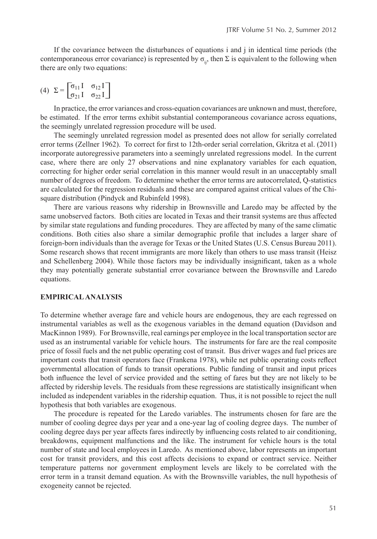If the covariance between the disturbances of equations i and j in identical time periods (the contemporaneous error covariance) is represented by  $\sigma_{ii}$ , then  $\Sigma$  is equivalent to the following when there are only two equations:

$$
(4) \ \Sigma = \begin{bmatrix} \sigma_{11} I & \sigma_{12} I \\ \sigma_{21} I & \sigma_{22} I \end{bmatrix}
$$

In practice, the error variances and cross-equation covariances are unknown and must, therefore, be estimated. If the error terms exhibit substantial contemporaneous covariance across equations, the seemingly unrelated regression procedure will be used.

The seemingly unrelated regression model as presented does not allow for serially correlated error terms (Zellner 1962). To correct for first to 12th-order serial correlation, Gkritza et al. (2011) incorporate autoregressive parameters into a seemingly unrelated regressions model. In the current case, where there are only 27 observations and nine explanatory variables for each equation, correcting for higher order serial correlation in this manner would result in an unacceptably small number of degrees of freedom. To determine whether the error terms are autocorrelated, Q-statistics are calculated for the regression residuals and these are compared against critical values of the Chisquare distribution (Pindyck and Rubinfeld 1998).

There are various reasons why ridership in Brownsville and Laredo may be affected by the same unobserved factors. Both cities are located in Texas and their transit systems are thus affected by similar state regulations and funding procedures. They are affected by many of the same climatic conditions. Both cities also share a similar demographic profile that includes a larger share of foreign-born individuals than the average for Texas or the United States (U.S. Census Bureau 2011). Some research shows that recent immigrants are more likely than others to use mass transit (Heisz and Schellenberg 2004). While those factors may be individually insignificant, taken as a whole they may potentially generate substantial error covariance between the Brownsville and Laredo equations.

### **EMPIRICAL ANALYSIS**

To determine whether average fare and vehicle hours are endogenous, they are each regressed on instrumental variables as well as the exogenous variables in the demand equation (Davidson and MacKinnon 1989). For Brownsville, real earnings per employee in the local transportation sector are used as an instrumental variable for vehicle hours. The instruments for fare are the real composite price of fossil fuels and the net public operating cost of transit. Bus driver wages and fuel prices are important costs that transit operators face (Frankena 1978), while net public operating costs reflect governmental allocation of funds to transit operations. Public funding of transit and input prices both influence the level of service provided and the setting of fares but they are not likely to be affected by ridership levels. The residuals from these regressions are statistically insignificant when included as independent variables in the ridership equation. Thus, it is not possible to reject the null hypothesis that both variables are exogenous.

The procedure is repeated for the Laredo variables. The instruments chosen for fare are the number of cooling degree days per year and a one-year lag of cooling degree days. The number of cooling degree days per year affects fares indirectly by influencing costs related to air conditioning, breakdowns, equipment malfunctions and the like. The instrument for vehicle hours is the total number of state and local employees in Laredo. As mentioned above, labor represents an important cost for transit providers, and this cost affects decisions to expand or contract service. Neither temperature patterns nor government employment levels are likely to be correlated with the error term in a transit demand equation. As with the Brownsville variables, the null hypothesis of exogeneity cannot be rejected.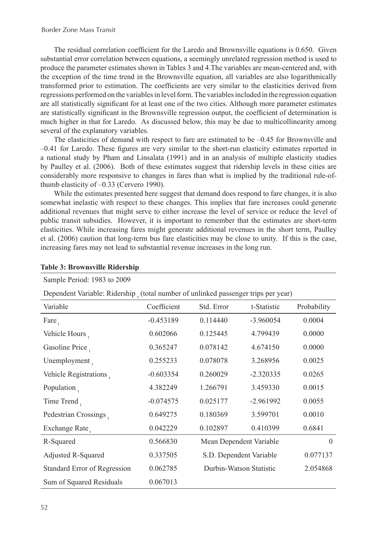The residual correlation coefficient for the Laredo and Brownsville equations is 0.650. Given substantial error correlation between equations, a seemingly unrelated regression method is used to produce the parameter estimates shown in Tables 3 and 4.The variables are mean-centered and, with the exception of the time trend in the Brownsville equation, all variables are also logarithmically transformed prior to estimation. The coefficients are very similar to the elasticities derived from regressions performed on the variables in level form. The variables included in the regression equation are all statistically significant for at least one of the two cities. Although more parameter estimates are statistically significant in the Brownsville regression output, the coefficient of determination is much higher in that for Laredo. As discussed below, this may be due to multicollinearity among several of the explanatory variables.

The elasticities of demand with respect to fare are estimated to be  $-0.45$  for Brownsville and –0.41 for Laredo. These figures are very similar to the short-run elasticity estimates reported in a national study by Pham and Linsalata (1991) and in an analysis of multiple elasticity studies by Paulley et al. (2006). Both of these estimates suggest that ridership levels in these cities are considerably more responsive to changes in fares than what is implied by the traditional rule-ofthumb elasticity of –0.33 (Cervero 1990).

While the estimates presented here suggest that demand does respond to fare changes, it is also somewhat inelastic with respect to these changes. This implies that fare increases could generate additional revenues that might serve to either increase the level of service or reduce the level of public transit subsidies. However, it is important to remember that the estimates are short-term elasticities. While increasing fares might generate additional revenues in the short term, Paulley et al. (2006) caution that long-term bus fare elasticities may be close to unity. If this is the case, increasing fares may not lead to substantial revenue increases in the long run.

| Dependent Variable: Ridership total number of unlinked passenger trips per year) |             |                         |             |             |  |  |
|----------------------------------------------------------------------------------|-------------|-------------------------|-------------|-------------|--|--|
| Variable                                                                         | Coefficient | Std. Error              | t-Statistic | Probability |  |  |
| $\text{Fare}_{+}$                                                                | $-0.453189$ | 0.114440                | $-3.960054$ | 0.0004      |  |  |
| Vehicle Hours,                                                                   | 0.602066    | 0.125445                | 4.799439    | 0.0000      |  |  |
| Gasoline Price,                                                                  | 0.365247    | 0.078142                | 4.674150    | 0.0000      |  |  |
| Unemployment,                                                                    | 0.255233    | 0.078078                | 3.268956    | 0.0025      |  |  |
| Vehicle Registrations.                                                           | $-0.603354$ | 0.260029                | $-2.320335$ | 0.0265      |  |  |
| Population,                                                                      | 4.382249    | 1.266791                | 3.459330    | 0.0015      |  |  |
| Time Trend,                                                                      | $-0.074575$ | 0.025177                | $-2.961992$ | 0.0055      |  |  |
| Pedestrian Crossings                                                             | 0.649275    | 0.180369                | 3.599701    | 0.0010      |  |  |
| Exchange Rate,                                                                   | 0.042229    | 0.102897                | 0.410399    | 0.6841      |  |  |
| R-Squared                                                                        | 0.566830    | Mean Dependent Variable |             | $\theta$    |  |  |
| Adjusted R-Squared                                                               | 0.337505    | S.D. Dependent Variable |             | 0.077137    |  |  |
| Standard Error of Regression                                                     | 0.062785    | Durbin-Watson Statistic |             | 2.054868    |  |  |
| Sum of Squared Residuals                                                         | 0.067013    |                         |             |             |  |  |

# **Table 3: Brownsville Ridership** Sample Period: 1983 to 2009

52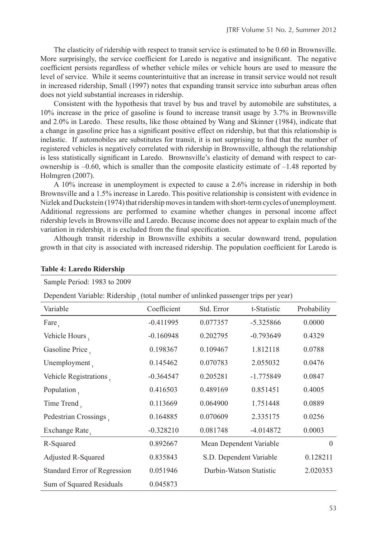The elasticity of ridership with respect to transit service is estimated to be 0.60 in Brownsville. More surprisingly, the service coefficient for Laredo is negative and insignificant. The negative coefficient persists regardless of whether vehicle miles or vehicle hours are used to measure the level of service. While it seems counterintuitive that an increase in transit service would not result in increased ridership, Small (1997) notes that expanding transit service into suburban areas often does not yield substantial increases in ridership.

Consistent with the hypothesis that travel by bus and travel by automobile are substitutes, a 10% increase in the price of gasoline is found to increase transit usage by 3.7% in Brownsville and 2.0% in Laredo. These results, like those obtained by Wang and Skinner (1984), indicate that a change in gasoline price has a significant positive effect on ridership, but that this relationship is inelastic. If automobiles are substitutes for transit, it is not surprising to find that the number of registered vehicles is negatively correlated with ridership in Brownsville, although the relationship is less statistically significant in Laredo. Brownsville's elasticity of demand with respect to carownership is  $-0.60$ , which is smaller than the composite elasticity estimate of  $-1.48$  reported by Holmgren (2007).

A 10% increase in unemployment is expected to cause a 2.6% increase in ridership in both Brownsville and a 1.5% increase in Laredo. This positive relationship is consistent with evidence in Nizlek and Duckstein (1974) that ridership moves in tandem with short-term cycles of unemployment. Additional regressions are performed to examine whether changes in personal income affect ridership levels in Brownsville and Laredo. Because income does not appear to explain much of the variation in ridership, it is excluded from the final specification.

Although transit ridership in Brownsville exhibits a secular downward trend, population growth in that city is associated with increased ridership. The population coefficient for Laredo is

| Sample Period: 1983 to 2009                                                       |             |                         |             |             |  |  |
|-----------------------------------------------------------------------------------|-------------|-------------------------|-------------|-------------|--|--|
| Dependent Variable: Ridership (total number of unlinked passenger trips per year) |             |                         |             |             |  |  |
| Variable                                                                          | Coefficient | Std. Error              | t-Statistic | Probability |  |  |
| $\text{Fare}_{+}$                                                                 | $-0.411995$ | 0.077357                | $-5.325866$ | 0.0000      |  |  |
| Vehicle Hours,                                                                    | $-0.160948$ | 0.202795                | $-0.793649$ | 0.4329      |  |  |
| Gasoline Price                                                                    | 0.198367    | 0.109467                | 1.812118    | 0.0788      |  |  |
| Unemployment.                                                                     | 0.145462    | 0.070783                | 2.055032    | 0.0476      |  |  |
| Vehicle Registrations.                                                            | $-0.364547$ | 0.205281                | $-1.775849$ | 0.0847      |  |  |
| Population.                                                                       | 0.416503    | 0.489169                | 0.851451    | 0.4005      |  |  |
| Time Trend,                                                                       | 0.113669    | 0.064900                | 1.751448    | 0.0889      |  |  |
| Pedestrian Crossings                                                              | 0.164885    | 0.070609                | 2.335175    | 0.0256      |  |  |
| Exchange Rate,                                                                    | $-0.328210$ | 0.081748                | $-4.014872$ | 0.0003      |  |  |
| R-Squared                                                                         | 0.892667    | Mean Dependent Variable |             | $\theta$    |  |  |
| Adjusted R-Squared                                                                | 0.835843    | S.D. Dependent Variable |             | 0.128211    |  |  |
| Standard Error of Regression                                                      | 0.051946    | Durbin-Watson Statistic |             | 2.020353    |  |  |
| Sum of Squared Residuals                                                          | 0.045873    |                         |             |             |  |  |

#### **Table 4: Laredo Ridership**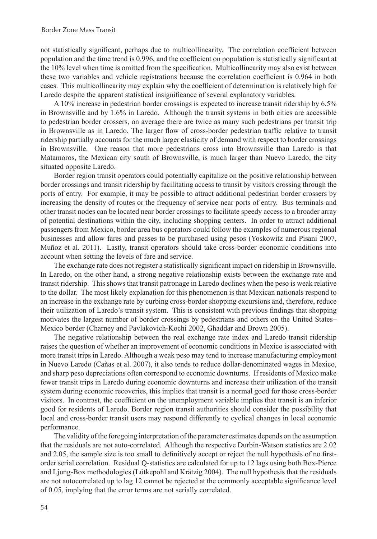not statistically significant, perhaps due to multicollinearity. The correlation coefficient between population and the time trend is 0.996, and the coefficient on population is statistically significant at the 10% level when time is omitted from the specification. Multicollinearity may also exist between these two variables and vehicle registrations because the correlation coefficient is 0.964 in both cases. This multicollinearity may explain why the coefficient of determination is relatively high for Laredo despite the apparent statistical insignificance of several explanatory variables.

A 10% increase in pedestrian border crossings is expected to increase transit ridership by 6.5% in Brownsville and by 1.6% in Laredo. Although the transit systems in both cities are accessible to pedestrian border crossers, on average there are twice as many such pedestrians per transit trip in Brownsville as in Laredo. The larger flow of cross-border pedestrian traffic relative to transit ridership partially accounts for the much larger elasticity of demand with respect to border crossings in Brownsville. One reason that more pedestrians cross into Brownsville than Laredo is that Matamoros, the Mexican city south of Brownsville, is much larger than Nuevo Laredo, the city situated opposite Laredo.

Border region transit operators could potentially capitalize on the positive relationship between border crossings and transit ridership by facilitating access to transit by visitors crossing through the ports of entry. For example, it may be possible to attract additional pedestrian border crossers by increasing the density of routes or the frequency of service near ports of entry. Bus terminals and other transit nodes can be located near border crossings to facilitate speedy access to a broader array of potential destinations within the city, including shopping centers. In order to attract additional passengers from Mexico, border area bus operators could follow the examples of numerous regional businesses and allow fares and passes to be purchased using pesos (Yoskowitz and Pisani 2007, Muñoz et al. 2011). Lastly, transit operators should take cross-border economic conditions into account when setting the levels of fare and service.

The exchange rate does not register a statistically significant impact on ridership in Brownsville. In Laredo, on the other hand, a strong negative relationship exists between the exchange rate and transit ridership. This shows that transit patronage in Laredo declines when the peso is weak relative to the dollar. The most likely explanation for this phenomenon is that Mexican nationals respond to an increase in the exchange rate by curbing cross-border shopping excursions and, therefore, reduce their utilization of Laredo's transit system. This is consistent with previous findings that shopping motivates the largest number of border crossings by pedestrians and others on the United States– Mexico border (Charney and Pavlakovich-Kochi 2002, Ghaddar and Brown 2005).

The negative relationship between the real exchange rate index and Laredo transit ridership raises the question of whether an improvement of economic conditions in Mexico is associated with more transit trips in Laredo. Although a weak peso may tend to increase manufacturing employment in Nuevo Laredo (Cañas et al. 2007), it also tends to reduce dollar-denominated wages in Mexico, and sharp peso depreciations often correspond to economic downturns. If residents of Mexico make fewer transit trips in Laredo during economic downturns and increase their utilization of the transit system during economic recoveries, this implies that transit is a normal good for those cross-border visitors. In contrast, the coefficient on the unemployment variable implies that transit is an inferior good for residents of Laredo. Border region transit authorities should consider the possibility that local and cross-border transit users may respond differently to cyclical changes in local economic performance.

The validity of the foregoing interpretation of the parameter estimates depends on the assumption that the residuals are not auto-correlated. Although the respective Durbin-Watson statistics are 2.02 and 2.05, the sample size is too small to definitively accept or reject the null hypothesis of no firstorder serial correlation. Residual Q-statistics are calculated for up to 12 lags using both Box-Pierce and Ljung-Box methodologies (Lütkepohl and Krätzig 2004). The null hypothesis that the residuals are not autocorrelated up to lag 12 cannot be rejected at the commonly acceptable significance level of 0.05, implying that the error terms are not serially correlated.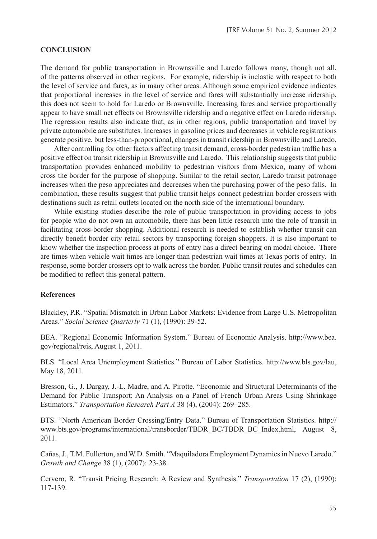#### **CONCLUSION**

The demand for public transportation in Brownsville and Laredo follows many, though not all, of the patterns observed in other regions. For example, ridership is inelastic with respect to both the level of service and fares, as in many other areas. Although some empirical evidence indicates that proportional increases in the level of service and fares will substantially increase ridership, this does not seem to hold for Laredo or Brownsville. Increasing fares and service proportionally appear to have small net effects on Brownsville ridership and a negative effect on Laredo ridership. The regression results also indicate that, as in other regions, public transportation and travel by private automobile are substitutes. Increases in gasoline prices and decreases in vehicle registrations generate positive, but less-than-proportional, changes in transit ridership in Brownsville and Laredo.

After controlling for other factors affecting transit demand, cross-border pedestrian traffic has a positive effect on transit ridership in Brownsville and Laredo. This relationship suggests that public transportation provides enhanced mobility to pedestrian visitors from Mexico, many of whom cross the border for the purpose of shopping. Similar to the retail sector, Laredo transit patronage increases when the peso appreciates and decreases when the purchasing power of the peso falls. In combination, these results suggest that public transit helps connect pedestrian border crossers with destinations such as retail outlets located on the north side of the international boundary.

While existing studies describe the role of public transportation in providing access to jobs for people who do not own an automobile, there has been little research into the role of transit in facilitating cross-border shopping. Additional research is needed to establish whether transit can directly benefit border city retail sectors by transporting foreign shoppers. It is also important to know whether the inspection process at ports of entry has a direct bearing on modal choice. There are times when vehicle wait times are longer than pedestrian wait times at Texas ports of entry. In response, some border crossers opt to walk across the border. Public transit routes and schedules can be modified to reflect this general pattern.

## **References**

Blackley, P.R. "Spatial Mismatch in Urban Labor Markets: Evidence from Large U.S. Metropolitan Areas." *Social Science Quarterly* 71 (1), (1990): 39-52.

BEA. "Regional Economic Information System." Bureau of Economic Analysis. http://www.bea. gov/regional/reis, August 1, 2011.

BLS. "Local Area Unemployment Statistics." Bureau of Labor Statistics. http://www.bls.gov/lau, May 18, 2011.

Bresson, G., J. Dargay, J.-L. Madre, and A. Pirotte. "Economic and Structural Determinants of the Demand for Public Transport: An Analysis on a Panel of French Urban Areas Using Shrinkage Estimators." *Transportation Research Part A* 38 (4), (2004): 269–285.

BTS. "North American Border Crossing/Entry Data." Bureau of Transportation Statistics. http:// www.bts.gov/programs/international/transborder/TBDR\_BC/TBDR\_BC\_Index.html, August 8, 2011.

Cañas, J., T.M. Fullerton, and W.D. Smith. "Maquiladora Employment Dynamics in Nuevo Laredo." *Growth and Change* 38 (1), (2007): 23-38.

Cervero, R. "Transit Pricing Research: A Review and Synthesis." *Transportation* 17 (2), (1990): 117-139.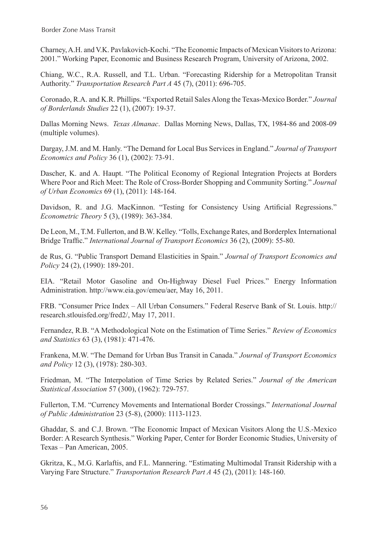Charney, A.H. and V.K. Pavlakovich-Kochi. "The Economic Impacts of Mexican Visitors to Arizona: 2001." Working Paper, Economic and Business Research Program, University of Arizona, 2002.

Chiang, W.C., R.A. Russell, and T.L. Urban. "Forecasting Ridership for a Metropolitan Transit Authority." *Transportation Research Part A* 45 (7), (2011): 696-705.

Coronado, R.A. and K.R. Phillips. "Exported Retail Sales Along the Texas-Mexico Border." *Journal of Borderlands Studies* 22 (1), (2007): 19-37.

Dallas Morning News. *Texas Almanac*. Dallas Morning News, Dallas, TX, 1984-86 and 2008-09 (multiple volumes).

Dargay, J.M. and M. Hanly. "The Demand for Local Bus Services in England." *Journal of Transport Economics and Policy* 36 (1), (2002): 73-91.

Dascher, K. and A. Haupt. "The Political Economy of Regional Integration Projects at Borders Where Poor and Rich Meet: The Role of Cross-Border Shopping and Community Sorting." *Journal of Urban Economics* 69 (1), (2011): 148-164.

Davidson, R. and J.G. MacKinnon. "Testing for Consistency Using Artificial Regressions." *Econometric Theory* 5 (3), (1989): 363-384.

De Leon, M., T.M. Fullerton, and B.W. Kelley. "Tolls, Exchange Rates, and Borderplex International Bridge Traffic." *International Journal of Transport Economics* 36 (2), (2009): 55-80.

de Rus, G. "Public Transport Demand Elasticities in Spain." *Journal of Transport Economics and Policy* 24 (2), (1990): 189-201.

EIA. "Retail Motor Gasoline and On-Highway Diesel Fuel Prices." Energy Information Administration. http://www.eia.gov/emeu/aer, May 16, 2011.

FRB. "Consumer Price Index – All Urban Consumers." Federal Reserve Bank of St. Louis. http:// research.stlouisfed.org/fred2/, May 17, 2011.

Fernandez, R.B. "A Methodological Note on the Estimation of Time Series." *Review of Economics and Statistics* 63 (3), (1981): 471-476.

Frankena, M.W. "The Demand for Urban Bus Transit in Canada." *Journal of Transport Economics and Policy* 12 (3), (1978): 280-303.

Friedman, M. "The Interpolation of Time Series by Related Series." *Journal of the American Statistical Association* 57 (300), (1962): 729-757.

Fullerton, T.M. "Currency Movements and International Border Crossings." *International Journal of Public Administration* 23 (5-8), (2000): 1113-1123.

Ghaddar, S. and C.J. Brown. "The Economic Impact of Mexican Visitors Along the U.S.-Mexico Border: A Research Synthesis." Working Paper, Center for Border Economic Studies, University of Texas – Pan American, 2005.

Gkritza, K., M.G. Karlaftis, and F.L. Mannering. "Estimating Multimodal Transit Ridership with a Varying Fare Structure." *Transportation Research Part A* 45 (2), (2011): 148-160.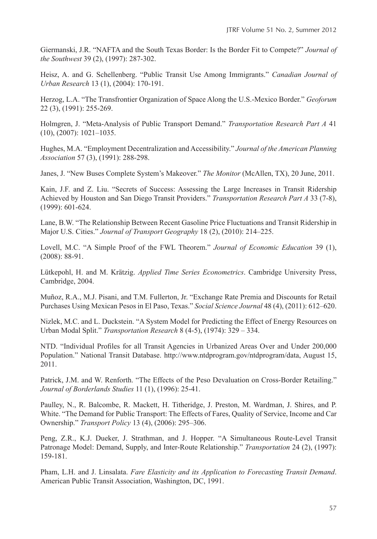Giermanski, J.R. "NAFTA and the South Texas Border: Is the Border Fit to Compete?" *Journal of the Southwest* 39 (2), (1997): 287-302.

Heisz, A. and G. Schellenberg. "Public Transit Use Among Immigrants." *Canadian Journal of Urban Research* 13 (1), (2004): 170-191.

Herzog, L.A. "The Transfrontier Organization of Space Along the U.S.-Mexico Border." *Geoforum* 22 (3), (1991): 255-269.

Holmgren, J. "Meta-Analysis of Public Transport Demand." *Transportation Research Part A* 41 (10), (2007): 1021–1035.

Hughes, M.A. "Employment Decentralization and Accessibility." *Journal of the American Planning Association* 57 (3), (1991): 288-298.

Janes, J. "New Buses Complete System's Makeover." *The Monitor* (McAllen, TX), 20 June, 2011.

Kain, J.F. and Z. Liu. "Secrets of Success: Assessing the Large Increases in Transit Ridership Achieved by Houston and San Diego Transit Providers." *Transportation Research Part A* 33 (7-8), (1999): 601-624.

Lane, B.W. "The Relationship Between Recent Gasoline Price Fluctuations and Transit Ridership in Major U.S. Cities." *Journal of Transport Geography* 18 (2), (2010): 214–225.

Lovell, M.C. "A Simple Proof of the FWL Theorem." *Journal of Economic Education* 39 (1), (2008): 88-91.

Lütkepohl, H. and M. Krätzig. *Applied Time Series Econometrics*. Cambridge University Press, Cambridge, 2004.

Muñoz, R.A., M.J. Pisani, and T.M. Fullerton, Jr. "Exchange Rate Premia and Discounts for Retail Purchases Using Mexican Pesos in El Paso, Texas." *Social Science Journal* 48 (4), (2011): 612–620.

Nizlek, M.C. and L. Duckstein. "A System Model for Predicting the Effect of Energy Resources on Urban Modal Split." *Transportation Research* 8 (4-5), (1974): 329 – 334.

NTD. "Individual Profiles for all Transit Agencies in Urbanized Areas Over and Under 200,000 Population." National Transit Database. http://www.ntdprogram.gov/ntdprogram/data, August 15, 2011.

Patrick, J.M. and W. Renforth. "The Effects of the Peso Devaluation on Cross-Border Retailing." *Journal of Borderlands Studies* 11 (1), (1996): 25-41.

Paulley, N., R. Balcombe, R. Mackett, H. Titheridge, J. Preston, M. Wardman, J. Shires, and P. White. "The Demand for Public Transport: The Effects of Fares, Quality of Service, Income and Car Ownership." *Transport Policy* 13 (4), (2006): 295–306.

Peng, Z.R., K.J. Dueker, J. Strathman, and J. Hopper. "A Simultaneous Route-Level Transit Patronage Model: Demand, Supply, and Inter-Route Relationship." *Transportation* 24 (2), (1997): 159-181.

Pham, L.H. and J. Linsalata. *Fare Elasticity and its Application to Forecasting Transit Demand*. American Public Transit Association, Washington, DC, 1991.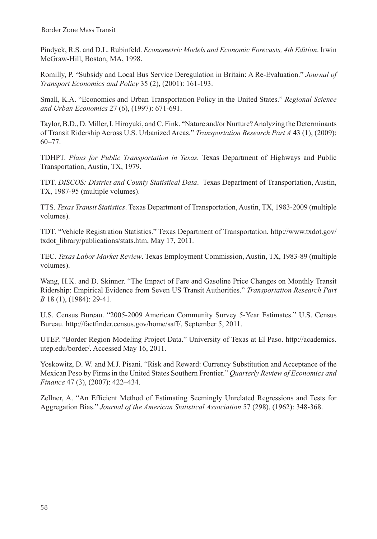Pindyck, R.S. and D.L. Rubinfeld. *Econometric Models and Economic Forecasts, 4th Edition*. Irwin McGraw-Hill, Boston, MA, 1998.

Romilly, P. "Subsidy and Local Bus Service Deregulation in Britain: A Re-Evaluation." *Journal of Transport Economics and Policy* 35 (2), (2001): 161-193.

Small, K.A. "Economics and Urban Transportation Policy in the United States." *Regional Science and Urban Economics* 27 (6), (1997): 671-691.

Taylor, B.D., D. Miller, I. Hiroyuki, and C. Fink. "Nature and/or Nurture? Analyzing the Determinants of Transit Ridership Across U.S. Urbanized Areas." *Transportation Research Part A* 43 (1), (2009): 60–77.

TDHPT. *Plans for Public Transportation in Texas.* Texas Department of Highways and Public Transportation, Austin, TX, 1979.

TDT. *DISCOS: District and County Statistical Data*. Texas Department of Transportation, Austin, TX, 1987-95 (multiple volumes).

TTS. *Texas Transit Statistics*. Texas Department of Transportation, Austin, TX, 1983-2009 (multiple volumes).

TDT. "Vehicle Registration Statistics." Texas Department of Transportation. http://www.txdot.gov/ txdot\_library/publications/stats.htm, May 17, 2011.

TEC. *Texas Labor Market Review*. Texas Employment Commission, Austin, TX, 1983-89 (multiple volumes).

Wang, H.K. and D. Skinner. "The Impact of Fare and Gasoline Price Changes on Monthly Transit Ridership: Empirical Evidence from Seven US Transit Authorities." *Transportation Research Part B* 18 (1), (1984): 29-41.

U.S. Census Bureau. "2005-2009 American Community Survey 5-Year Estimates." U.S. Census Bureau. http://factfinder.census.gov/home/saff/, September 5, 2011.

UTEP. "Border Region Modeling Project Data." University of Texas at El Paso. http://academics. utep.edu/border/. Accessed May 16, 2011.

Yoskowitz, D. W. and M.J. Pisani. "Risk and Reward: Currency Substitution and Acceptance of the Mexican Peso by Firms in the United States Southern Frontier." *Quarterly Review of Economics and Finance* 47 (3), (2007): 422–434.

Zellner, A. "An Efficient Method of Estimating Seemingly Unrelated Regressions and Tests for Aggregation Bias." *Journal of the American Statistical Association* 57 (298), (1962): 348-368.